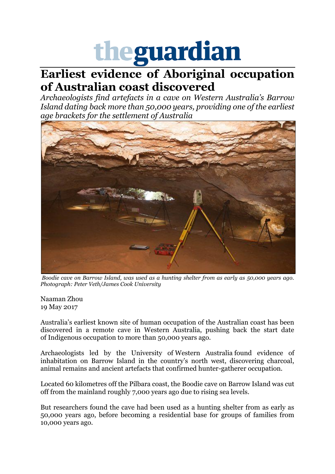## theguardian

## **Earliest evidence of Aboriginal occupation of Australian coast discovered**

*Archaeologists find artefacts in a cave on Western Australia's Barrow Island dating back more than 50,000 years, providing one of the earliest age brackets for the settlement of Australi[a](https://www.theguardian.com/australia-news/2017/may/19/indigenous-australian-life-cave-wa-50000-years#img-1)*



*Boodie cave on Barrow Island, was used as a hunting shelter from as early as 50,000 years ago. Photograph: Peter Veth/James Cook University*

[Naaman Zhou](https://www.theguardian.com/profile/naaman-zhou) 19 May 2017

Australia's earliest known site of human occupation of the Australian coast has been discovered in a remote cave in Western Australia, pushing back the start date of Indigenous occupation to more than 50,000 years ago.

Archaeologists led by the University of Western Australia found evidence of inhabitation on Barrow Island in the country's north west, discovering charcoal, animal remains and ancient artefacts that confirmed hunter-gatherer occupation.

Located 60 kilometres off the Pilbara coast, the Boodie cave on Barrow Island was cut off from the mainland roughly 7,000 years ago due to rising sea levels.

But researchers found the cave had been used as a hunting shelter from as early as 50,000 years ago, before becoming a residential base for groups of families from 10,000 years ago.